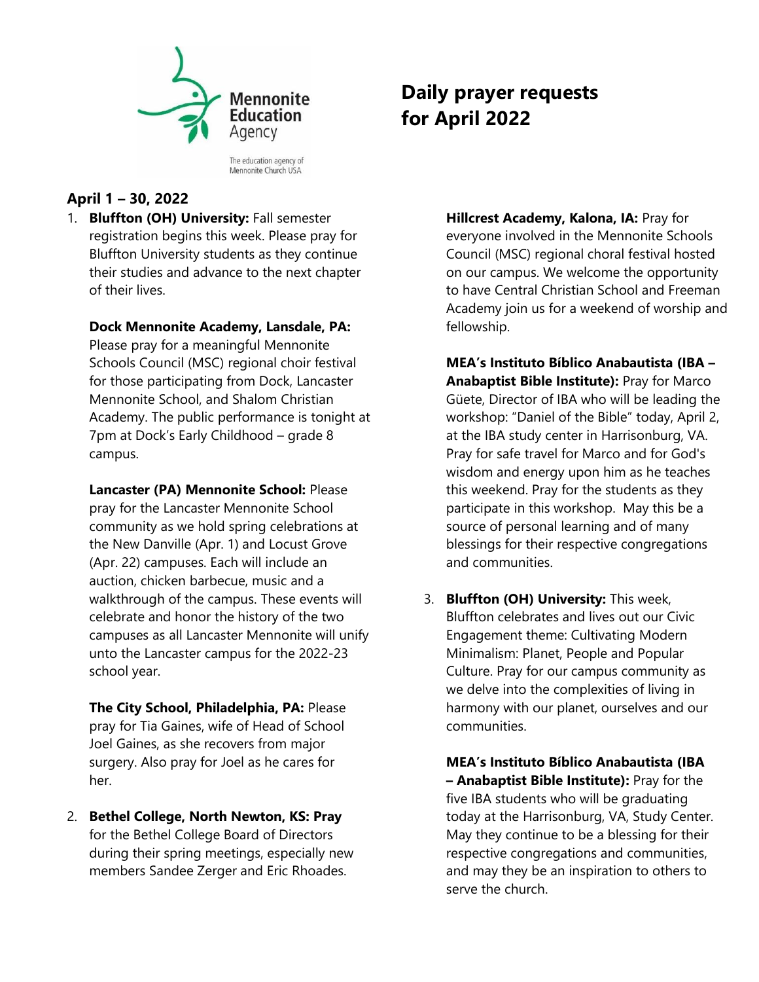

Mennonite Church USA

# **April 1 – 30, 2022**

1. **Bluffton (OH) University:** Fall semester registration begins this week. Please pray for Bluffton University students as they continue their studies and advance to the next chapter of their lives.

## **Dock Mennonite Academy, Lansdale, PA:**

Please pray for a meaningful Mennonite Schools Council (MSC) regional choir festival for those participating from Dock, Lancaster Mennonite School, and Shalom Christian Academy. The public performance is tonight at 7pm at Dock's Early Childhood – grade 8 campus.

**Lancaster (PA) Mennonite School:** Please pray for the Lancaster Mennonite School community as we hold spring celebrations at the New Danville (Apr. 1) and Locust Grove (Apr. 22) campuses. Each will include an auction, chicken barbecue, music and a walkthrough of the campus. These events will celebrate and honor the history of the two campuses as all Lancaster Mennonite will unify unto the Lancaster campus for the 2022-23 school year.

**The City School, Philadelphia, PA:** Please pray for Tia Gaines, wife of Head of School Joel Gaines, as she recovers from major surgery. Also pray for Joel as he cares for her.

2. **Bethel College, North Newton, KS: Pray**  for the Bethel College Board of Directors during their spring meetings, especially new members Sandee Zerger and Eric Rhoades.

# **Daily prayer requests for April 2022**

**Hillcrest Academy, Kalona, IA:** Pray for everyone involved in the Mennonite Schools Council (MSC) regional choral festival hosted on our campus. We welcome the opportunity to have Central Christian School and Freeman Academy join us for a weekend of worship and fellowship.

**MEA's Instituto Bíblico Anabautista (IBA – Anabaptist Bible Institute):** Pray for Marco Güete, Director of IBA who will be leading the workshop: "Daniel of the Bible" today, April 2, at the IBA study center in Harrisonburg, VA. Pray for safe travel for Marco and for God's wisdom and energy upon him as he teaches this weekend. Pray for the students as they participate in this workshop. May this be a source of personal learning and of many blessings for their respective congregations and communities.

3. **Bluffton (OH) University:** This week, Bluffton celebrates and lives out our Civic Engagement theme: Cultivating Modern Minimalism: Planet, People and Popular Culture. Pray for our campus community as we delve into the complexities of living in harmony with our planet, ourselves and our communities.

**MEA's Instituto Bíblico Anabautista (IBA – Anabaptist Bible Institute):** Pray for the five IBA students who will be graduating today at the Harrisonburg, VA, Study Center. May they continue to be a blessing for their respective congregations and communities, and may they be an inspiration to others to serve the church.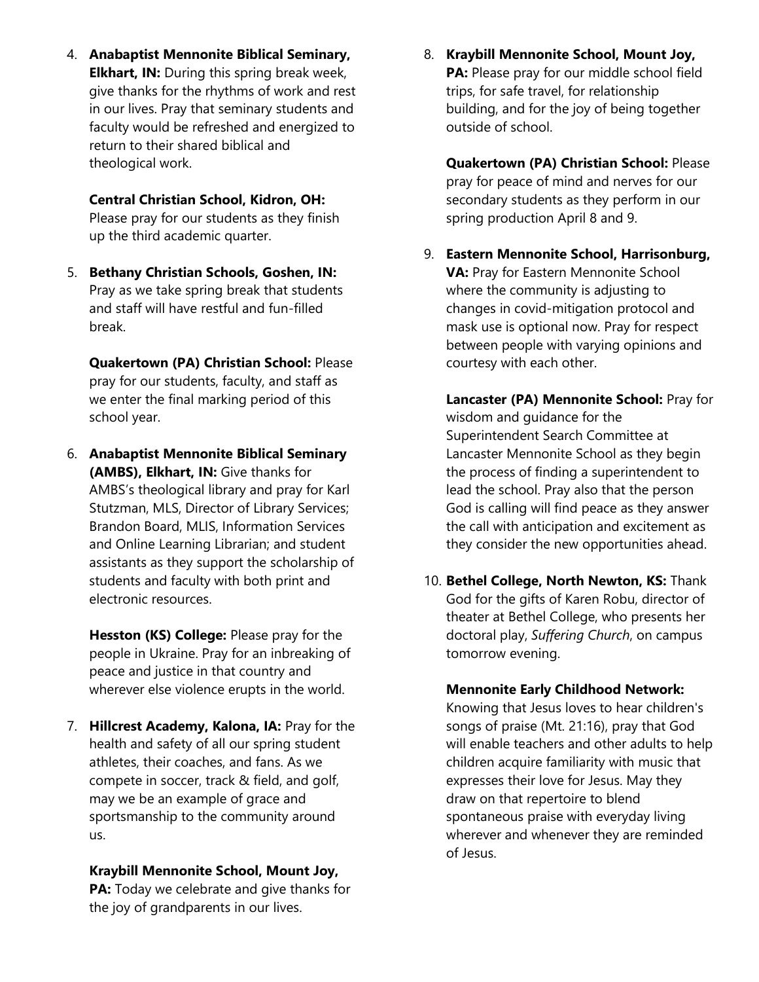4. **Anabaptist Mennonite Biblical Seminary, Elkhart, IN:** During this spring break week, give thanks for the rhythms of work and rest in our lives. Pray that seminary students and faculty would be refreshed and energized to return to their shared biblical and theological work.

#### **Central Christian School, Kidron, OH:**

Please pray for our students as they finish up the third academic quarter.

5. **Bethany Christian Schools, Goshen, IN:**  Pray as we take spring break that students and staff will have restful and fun-filled break.

**Quakertown (PA) Christian School:** Please pray for our students, faculty, and staff as we enter the final marking period of this school year.

6. **Anabaptist Mennonite Biblical Seminary (AMBS), Elkhart, IN:** Give thanks for AMBS's theological library and pray for Karl Stutzman, MLS, Director of Library Services; Brandon Board, MLIS, Information Services and Online Learning Librarian; and student assistants as they support the scholarship of students and faculty with both print and electronic resources.

**Hesston (KS) College:** Please pray for the people in Ukraine. Pray for an inbreaking of peace and justice in that country and wherever else violence erupts in the world.

7. **Hillcrest Academy, Kalona, IA:** Pray for the health and safety of all our spring student athletes, their coaches, and fans. As we compete in soccer, track & field, and golf, may we be an example of grace and sportsmanship to the community around us.

**Kraybill Mennonite School, Mount Joy, PA:** Today we celebrate and give thanks for the joy of grandparents in our lives.

8. **Kraybill Mennonite School, Mount Joy, PA:** Please pray for our middle school field trips, for safe travel, for relationship building, and for the joy of being together outside of school.

**Quakertown (PA) Christian School:** Please pray for peace of mind and nerves for our secondary students as they perform in our spring production April 8 and 9.

9. **Eastern Mennonite School, Harrisonburg, VA:** Pray for Eastern Mennonite School where the community is adjusting to changes in covid-mitigation protocol and mask use is optional now. Pray for respect between people with varying opinions and courtesy with each other.

**Lancaster (PA) Mennonite School:** Pray for wisdom and guidance for the Superintendent Search Committee at Lancaster Mennonite School as they begin the process of finding a superintendent to lead the school. Pray also that the person God is calling will find peace as they answer the call with anticipation and excitement as they consider the new opportunities ahead.

10. **Bethel College, North Newton, KS:** Thank God for the gifts of Karen Robu, director of theater at Bethel College, who presents her doctoral play, *Suffering Church*, on campus tomorrow evening.

#### **Mennonite Early Childhood Network:**

Knowing that Jesus loves to hear children's songs of praise (Mt. 21:16), pray that God will enable teachers and other adults to help children acquire familiarity with music that expresses their love for Jesus. May they draw on that repertoire to blend spontaneous praise with everyday living wherever and whenever they are reminded of Jesus.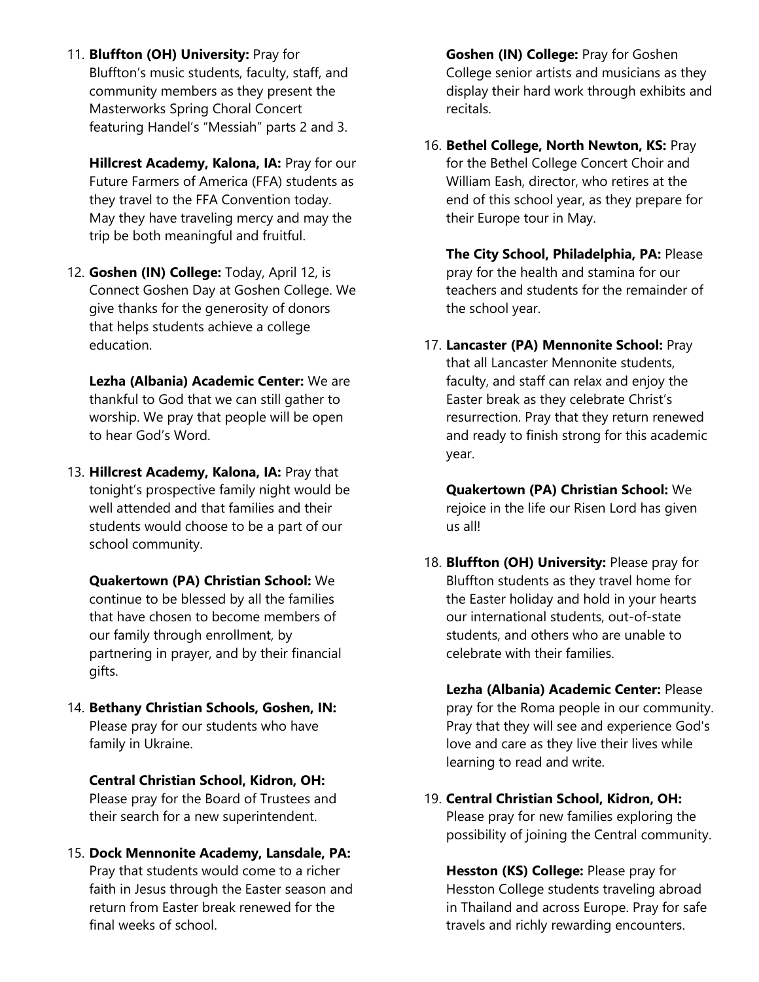11. **Bluffton (OH) University:** Pray for Bluffton's music students, faculty, staff, and community members as they present the Masterworks Spring Choral Concert featuring Handel's "Messiah" parts 2 and 3.

**Hillcrest Academy, Kalona, IA:** Pray for our Future Farmers of America (FFA) students as they travel to the FFA Convention today. May they have traveling mercy and may the trip be both meaningful and fruitful.

12. **Goshen (IN) College:** Today, April 12, is Connect Goshen Day at Goshen College. We give thanks for the generosity of donors that helps students achieve a college education.

**Lezha (Albania) Academic Center:** We are thankful to God that we can still gather to worship. We pray that people will be open to hear God's Word.

13. **Hillcrest Academy, Kalona, IA:** Pray that tonight's prospective family night would be well attended and that families and their students would choose to be a part of our school community.

**Quakertown (PA) Christian School:** We continue to be blessed by all the families that have chosen to become members of our family through enrollment, by partnering in prayer, and by their financial gifts.

14. **Bethany Christian Schools, Goshen, IN:**  Please pray for our students who have family in Ukraine.

**Central Christian School, Kidron, OH:**  Please pray for the Board of Trustees and their search for a new superintendent.

15. **Dock Mennonite Academy, Lansdale, PA:**  Pray that students would come to a richer faith in Jesus through the Easter season and return from Easter break renewed for the final weeks of school.

**Goshen (IN) College:** Pray for Goshen College senior artists and musicians as they display their hard work through exhibits and recitals.

16. **Bethel College, North Newton, KS:** Pray for the Bethel College Concert Choir and William Eash, director, who retires at the end of this school year, as they prepare for their Europe tour in May.

**The City School, Philadelphia, PA:** Please pray for the health and stamina for our teachers and students for the remainder of the school year.

17. **Lancaster (PA) Mennonite School:** Pray that all Lancaster Mennonite students, faculty, and staff can relax and enjoy the Easter break as they celebrate Christ's resurrection. Pray that they return renewed and ready to finish strong for this academic year.

**Quakertown (PA) Christian School:** We rejoice in the life our Risen Lord has given us all!

18. **Bluffton (OH) University:** Please pray for Bluffton students as they travel home for the Easter holiday and hold in your hearts our international students, out-of-state students, and others who are unable to celebrate with their families.

**Lezha (Albania) Academic Center:** Please pray for the Roma people in our community. Pray that they will see and experience God's love and care as they live their lives while learning to read and write.

19. **Central Christian School, Kidron, OH:** Please pray for new families exploring the possibility of joining the Central community.

**Hesston (KS) College:** Please pray for Hesston College students traveling abroad in Thailand and across Europe. Pray for safe travels and richly rewarding encounters.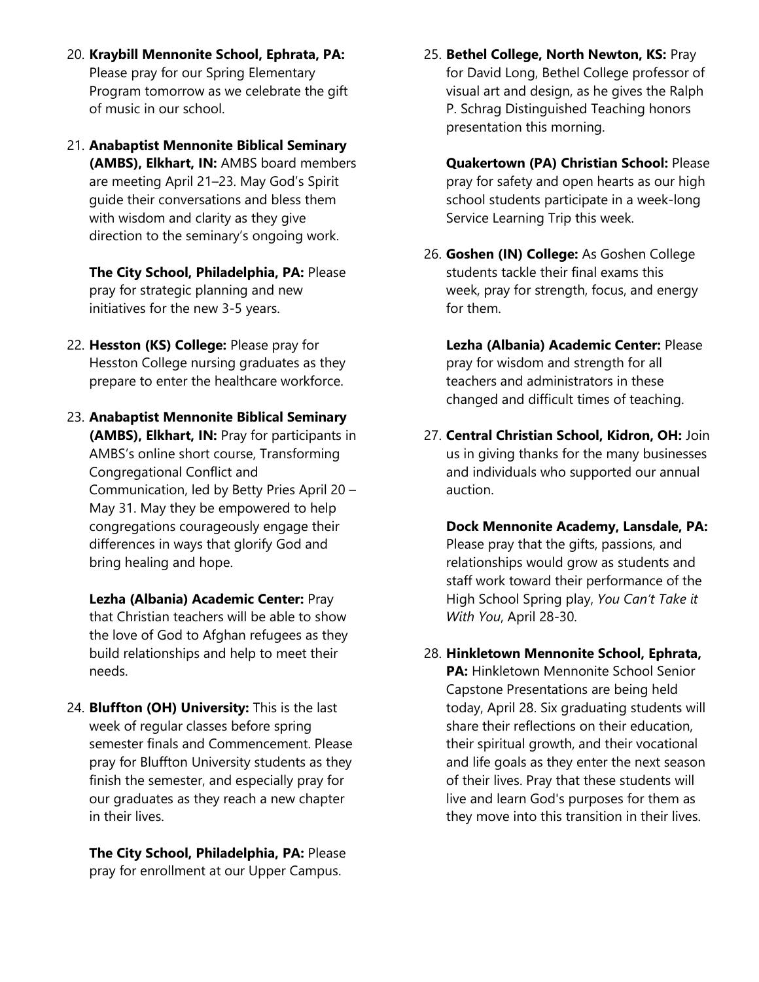- 20. **Kraybill Mennonite School, Ephrata, PA:**  Please pray for our Spring Elementary Program tomorrow as we celebrate the gift of music in our school.
- 21. **Anabaptist Mennonite Biblical Seminary (AMBS), Elkhart, IN:** AMBS board members are meeting April 21–23. May God's Spirit guide their conversations and bless them with wisdom and clarity as they give direction to the seminary's ongoing work.

**The City School, Philadelphia, PA:** Please pray for strategic planning and new initiatives for the new 3-5 years.

- 22. **Hesston (KS) College:** Please pray for Hesston College nursing graduates as they prepare to enter the healthcare workforce.
- 23. **Anabaptist Mennonite Biblical Seminary (AMBS), Elkhart, IN:** Pray for participants in AMBS's online short course, Transforming Congregational Conflict and Communication, led by Betty Pries April 20 – May 31. May they be empowered to help congregations courageously engage their differences in ways that glorify God and bring healing and hope.

**Lezha (Albania) Academic Center:** Pray that Christian teachers will be able to show the love of God to Afghan refugees as they build relationships and help to meet their needs.

24. **Bluffton (OH) University:** This is the last week of regular classes before spring semester finals and Commencement. Please pray for Bluffton University students as they finish the semester, and especially pray for our graduates as they reach a new chapter in their lives.

**The City School, Philadelphia, PA:** Please pray for enrollment at our Upper Campus.

25. **Bethel College, North Newton, KS:** Pray for David Long, Bethel College professor of visual art and design, as he gives the Ralph P. Schrag Distinguished Teaching honors presentation this morning.

**Quakertown (PA) Christian School:** Please pray for safety and open hearts as our high school students participate in a week-long Service Learning Trip this week.

- 26. **Goshen (IN) College:** As Goshen College students tackle their final exams this week, pray for strength, focus, and energy for them.
	- **Lezha (Albania) Academic Center:** Please pray for wisdom and strength for all teachers and administrators in these changed and difficult times of teaching.
- 27. **Central Christian School, Kidron, OH:** Join us in giving thanks for the many businesses and individuals who supported our annual auction.

**Dock Mennonite Academy, Lansdale, PA:**  Please pray that the gifts, passions, and relationships would grow as students and staff work toward their performance of the High School Spring play, *You Can't Take it With You*, April 28-30.

28. **Hinkletown Mennonite School, Ephrata, PA: Hinkletown Mennonite School Senior** Capstone Presentations are being held today, April 28. Six graduating students will share their reflections on their education, their spiritual growth, and their vocational and life goals as they enter the next season of their lives. Pray that these students will live and learn God's purposes for them as they move into this transition in their lives.